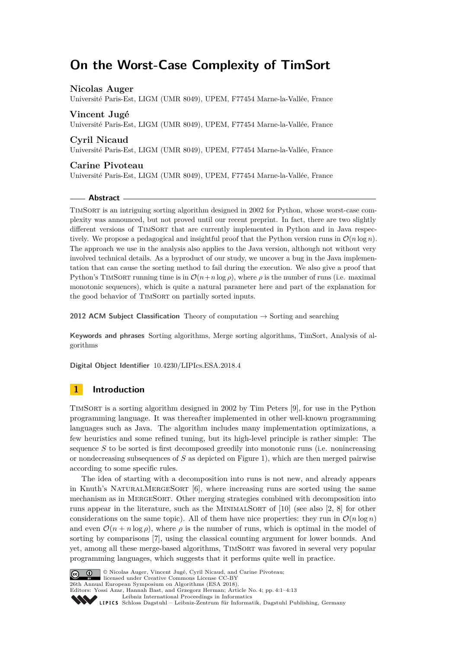# **On the Worst-Case Complexity of TimSort**

## **Nicolas Auger**

Université Paris-Est, LIGM (UMR 8049), UPEM, F77454 Marne-la-Vallée, France

## **Vincent Jugé**

Université Paris-Est, LIGM (UMR 8049), UPEM, F77454 Marne-la-Vallée, France

## **Cyril Nicaud**

Université Paris-Est, LIGM (UMR 8049), UPEM, F77454 Marne-la-Vallée, France

## **Carine Pivoteau**

Université Paris-Est, LIGM (UMR 8049), UPEM, F77454 Marne-la-Vallée, France

## **Abstract**

TimSort is an intriguing sorting algorithm designed in 2002 for Python, whose worst-case complexity was announced, but not proved until our recent preprint. In fact, there are two slightly different versions of TIMSORT that are currently implemented in Python and in Java respectively. We propose a pedagogical and insightful proof that the Python version runs in  $\mathcal{O}(n \log n)$ . The approach we use in the analysis also applies to the Java version, although not without very involved technical details. As a byproduct of our study, we uncover a bug in the Java implementation that can cause the sorting method to fail during the execution. We also give a proof that Python's TIMSORT running time is in  $\mathcal{O}(n+n\log\rho)$ , where  $\rho$  is the number of runs (i.e. maximal monotonic sequences), which is quite a natural parameter here and part of the explanation for the good behavior of TIMSORT on partially sorted inputs.

**2012 ACM Subject Classification** Theory of computation → Sorting and searching

**Keywords and phrases** Sorting algorithms, Merge sorting algorithms, TimSort, Analysis of algorithms

**Digital Object Identifier** [10.4230/LIPIcs.ESA.2018.4](http://dx.doi.org/10.4230/LIPIcs.ESA.2018.4)

## **1 Introduction**

TimSort is a sorting algorithm designed in 2002 by Tim Peters [\[9\]](#page-12-0), for use in the Python programming language. It was thereafter implemented in other well-known programming languages such as Java. The algorithm includes many implementation optimizations, a few heuristics and some refined tuning, but its high-level principle is rather simple: The sequence *S* to be sorted is first decomposed greedily into monotonic runs (i.e. nonincreasing or nondecreasing subsequences of *S* as depicted on Figure [1\)](#page-1-0), which are then merged pairwise according to some specific rules.

The idea of starting with a decomposition into runs is not new, and already appears in Knuth's NaturalMergeSort [\[6\]](#page-12-1), where increasing runs are sorted using the same mechanism as in MergeSort. Other merging strategies combined with decomposition into runs appear in the literature, such as the MINIMALSORT of  $[10]$  (see also  $[2, 8]$  $[2, 8]$  $[2, 8]$  for other considerations on the same topic). All of them have nice properties: they run in  $\mathcal{O}(n \log n)$ and even  $\mathcal{O}(n + n \log \rho)$ , where  $\rho$  is the number of runs, which is optimal in the model of sorting by comparisons [\[7\]](#page-12-5), using the classical counting argument for lower bounds. And yet, among all these merge-based algorithms, TimSort was favored in several very popular programming languages, which suggests that it performs quite well in practice.



© Nicolas Auger, Vincent Jugé, Cyril Nicaud, and Carine Pivoteau; licensed under Creative Commons License CC-BY 26th Annual European Symposium on Algorithms (ESA 2018).

Editors: Yossi Azar, Hannah Bast, and Grzegorz Herman; Article No. 4; pp. 4:1–4[:13](#page-12-6)

[Leibniz International Proceedings in Informatics](http://www.dagstuhl.de/lipics/) [Schloss Dagstuhl – Leibniz-Zentrum für Informatik, Dagstuhl Publishing, Germany](http://www.dagstuhl.de)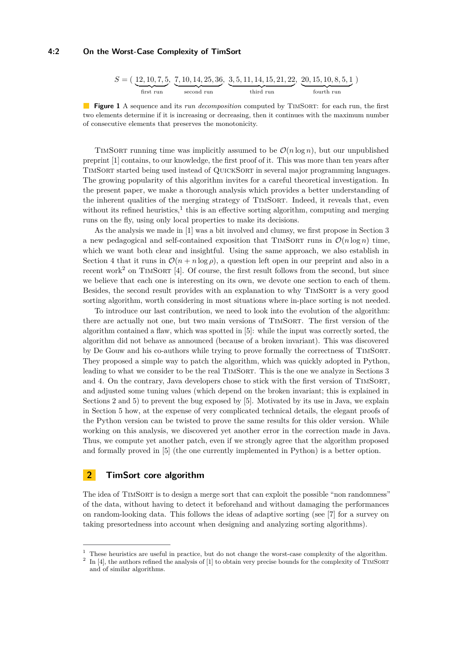## **4:2 On the Worst-Case Complexity of TimSort**

<span id="page-1-0"></span>
$$
S = \left(\underbrace{12, 10, 7, 5}_{\text{first run}}, \underbrace{7, 10, 14, 25, 36}_{\text{second run}}, \underbrace{3, 5, 11, 14, 15, 21, 22}_{\text{third run}}, \underbrace{20, 15, 10, 8, 5, 1}_{\text{fourth run}}\right)
$$

**Figure 1** A sequence and its *run decomposition* computed by TIMSORT: for each run, the first two elements determine if it is increasing or decreasing, then it continues with the maximum number of consecutive elements that preserves the monotonicity.

TIMSORT running time was implicitly assumed to be  $\mathcal{O}(n \log n)$ , but our unpublished preprint [\[1\]](#page-12-7) contains, to our knowledge, the first proof of it. This was more than ten years after TimSort started being used instead of QuickSort in several major programming languages. The growing popularity of this algorithm invites for a careful theoretical investigation. In the present paper, we make a thorough analysis which provides a better understanding of the inherent qualities of the merging strategy of TIMSORT. Indeed, it reveals that, even without its refined heuristics,<sup>[1](#page-1-1)</sup> this is an effective sorting algorithm, computing and merging runs on the fly, using only local properties to make its decisions.

As the analysis we made in [\[1\]](#page-12-7) was a bit involved and clumsy, we first propose in Section [3](#page-3-0) a new pedagogical and self-contained exposition that TIMSORT runs in  $\mathcal{O}(n \log n)$  time, which we want both clear and insightful. Using the same approach, we also establish in Section [4](#page-6-0) that it runs in  $\mathcal{O}(n + n \log \rho)$ , a question left open in our preprint and also in a recent work<sup>[2](#page-1-2)</sup> on TIMSORT [\[4\]](#page-12-8). Of course, the first result follows from the second, but since we believe that each one is interesting on its own, we devote one section to each of them. Besides, the second result provides with an explanation to why TIMSORT is a very good sorting algorithm, worth considering in most situations where in-place sorting is not needed.

To introduce our last contribution, we need to look into the evolution of the algorithm: there are actually not one, but two main versions of TIMSORT. The first version of the algorithm contained a flaw, which was spotted in [\[5\]](#page-12-9): while the input was correctly sorted, the algorithm did not behave as announced (because of a broken invariant). This was discovered by De Gouw and his co-authors while trying to prove formally the correctness of TimSort. They proposed a simple way to patch the algorithm, which was quickly adopted in Python, leading to what we consider to be the real TIMSORT. This is the one we analyze in Sections [3](#page-3-0) and [4.](#page-6-0) On the contrary, Java developers chose to stick with the first version of TimSort, and adjusted some tuning values (which depend on the broken invariant; this is explained in Sections [2](#page-1-3) and [5\)](#page-8-0) to prevent the bug exposed by [\[5\]](#page-12-9). Motivated by its use in Java, we explain in Section [5](#page-8-0) how, at the expense of very complicated technical details, the elegant proofs of the Python version can be twisted to prove the same results for this older version. While working on this analysis, we discovered yet another error in the correction made in Java. Thus, we compute yet another patch, even if we strongly agree that the algorithm proposed and formally proved in [\[5\]](#page-12-9) (the one currently implemented in Python) is a better option.

## <span id="page-1-3"></span>**2 TimSort core algorithm**

The idea of TIMSORT is to design a merge sort that can exploit the possible "non randomness" of the data, without having to detect it beforehand and without damaging the performances on random-looking data. This follows the ideas of adaptive sorting (see [\[7\]](#page-12-5) for a survey on taking presortedness into account when designing and analyzing sorting algorithms).

<span id="page-1-1"></span> $1$  These heuristics are useful in practice, but do not change the worst-case complexity of the algorithm.

<span id="page-1-2"></span><sup>&</sup>lt;sup>2</sup> In [\[4\]](#page-12-8), the authors refined the analysis of [\[1\]](#page-12-7) to obtain very precise bounds for the complexity of TMSORT and of similar algorithms.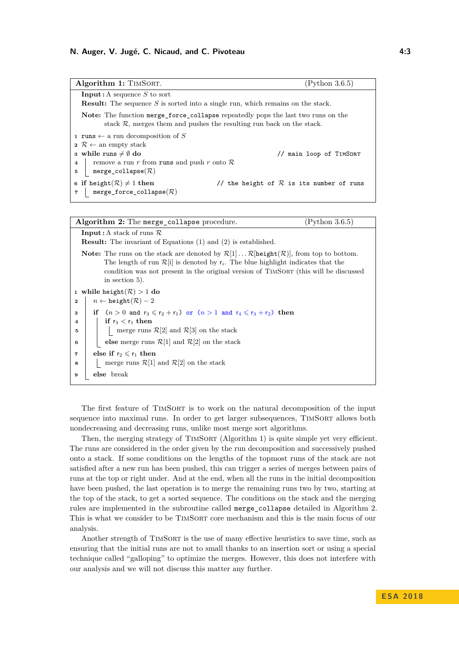## **N. Auger, V. Jugé, C. Nicaud, and C. Pivoteau 4:3**

| Algorithm 1: TIMSORT.                                                                                                                                              | (Python 3.6.5)                             |  |  |
|--------------------------------------------------------------------------------------------------------------------------------------------------------------------|--------------------------------------------|--|--|
| <b>Input:</b> A sequence S to sort<br><b>Result:</b> The sequence S is sorted into a single run, which remains on the stack.                                       |                                            |  |  |
| <b>Note:</b> The function merge force collapse repeatedly pops the last two runs on the<br>stack $R$ , merges them and pushes the resulting run back on the stack. |                                            |  |  |
| <b>1 runs</b> $\leftarrow$ a run decomposition of S                                                                                                                |                                            |  |  |
| $2 \mathcal{R} \leftarrow$ an empty stack                                                                                                                          |                                            |  |  |
| 3 while runs $\neq \emptyset$ do                                                                                                                                   | // main loop of TIMSORT                    |  |  |
| remove a run r from runs and push r onto $\mathcal R$<br>$\overline{4}$                                                                                            |                                            |  |  |
| $merge\_collapse(R)$<br>5                                                                                                                                          |                                            |  |  |
| 6 if height( $\mathcal{R}$ ) $\neq$ 1 then<br>$merge\_force\_collapse(R)$                                                                                          | // the height of $R$ is its number of runs |  |  |

<span id="page-2-0"></span>

| (Python 3.6.5)<br>Algorithm 2: The merge collapse procedure.                                                                                                                                                                                                                                                                                     |  |  |  |  |
|--------------------------------------------------------------------------------------------------------------------------------------------------------------------------------------------------------------------------------------------------------------------------------------------------------------------------------------------------|--|--|--|--|
| <b>Input:</b> A stack of runs $\mathcal{R}$                                                                                                                                                                                                                                                                                                      |  |  |  |  |
| <b>Result:</b> The invariant of Equations (1) and (2) is established.                                                                                                                                                                                                                                                                            |  |  |  |  |
| <b>Note:</b> The runs on the stack are denoted by $\mathcal{R}[1] \dots \mathcal{R}$ height $(\mathcal{R})$ , from top to bottom.<br>The length of run $\mathcal{R}[i]$ is denoted by $r_i$ . The blue highlight indicates that the<br>condition was not present in the original version of TIMSORT (this will be discussed<br>in section $5$ ). |  |  |  |  |
| 1 while height( $\mathcal{R}$ ) > 1 do                                                                                                                                                                                                                                                                                                           |  |  |  |  |
| $n \leftarrow \text{height}(\mathcal{R}) - 2$<br>$\mathbf{2}$                                                                                                                                                                                                                                                                                    |  |  |  |  |
| if $(n > 0$ and $r_3 \leqslant r_2 + r_1$ ) or $(n > 1$ and $r_4 \leqslant r_3 + r_2)$ then<br>3                                                                                                                                                                                                                                                 |  |  |  |  |
| if $r_3 < r_1$ then<br>$\overline{a}$                                                                                                                                                                                                                                                                                                            |  |  |  |  |
| merge runs $\mathcal{R}[2]$ and $\mathcal{R}[3]$ on the stack<br>5                                                                                                                                                                                                                                                                               |  |  |  |  |
| else merge runs $\mathcal{R}[1]$ and $\mathcal{R}[2]$ on the stack<br>6                                                                                                                                                                                                                                                                          |  |  |  |  |
| else if $r_2 \leqslant r_1$ then<br>$\overline{\mathbf{r}}$                                                                                                                                                                                                                                                                                      |  |  |  |  |
| merge runs $\mathcal{R}[1]$ and $\mathcal{R}[2]$ on the stack<br>8                                                                                                                                                                                                                                                                               |  |  |  |  |
| else break<br>9                                                                                                                                                                                                                                                                                                                                  |  |  |  |  |
|                                                                                                                                                                                                                                                                                                                                                  |  |  |  |  |

<span id="page-2-1"></span>The first feature of TIMSORT is to work on the natural decomposition of the input sequence into maximal runs. In order to get larger subsequences, TIMSORT allows both nondecreasing and decreasing runs, unlike most merge sort algorithms.

Then, the merging strategy of TIMSORT (Algorithm [1\)](#page-2-0) is quite simple yet very efficient. The runs are considered in the order given by the run decomposition and successively pushed onto a stack. If some conditions on the lengths of the topmost runs of the stack are not satisfied after a new run has been pushed, this can trigger a series of merges between pairs of runs at the top or right under. And at the end, when all the runs in the initial decomposition have been pushed, the last operation is to merge the remaining runs two by two, starting at the top of the stack, to get a sorted sequence. The conditions on the stack and the merging rules are implemented in the subroutine called merge\_collapse detailed in Algorithm [2.](#page-2-1) This is what we consider to be TIMSORT core mechanism and this is the main focus of our analysis.

Another strength of TIMSORT is the use of many effective heuristics to save time, such as ensuring that the initial runs are not to small thanks to an insertion sort or using a special technique called "galloping" to optimize the merges. However, this does not interfere with our analysis and we will not discuss this matter any further.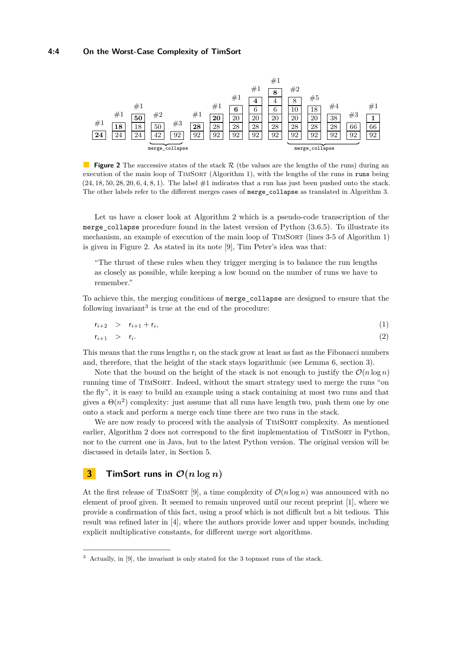<span id="page-3-2"></span>

**Figure 2** The successive states of the stack R (the values are the lengths of the runs) during an execution of the main loop of TIMSORT (Algorithm [1\)](#page-2-0), with the lengths of the runs in runs being (24*,* 18*,* 50*,* 28*,* 20*,* 6*,* 4*,* 8*,* 1). The label #1 indicates that a run has just been pushed onto the stack. The other labels refer to the different merges cases of merge\_collapse as translated in Algorithm [3.](#page-4-0)

Let us have a closer look at Algorithm [2](#page-2-1) which is a pseudo-code transcription of the merge collapse procedure found in the latest version of Python  $(3.6.5)$ . To illustrate its mechanism, an example of execution of the main loop of TIMSORT (lines 3-5 of Algorithm [1\)](#page-2-0) is given in Figure [2.](#page-3-2) As stated in its note [\[9\]](#page-12-0), Tim Peter's idea was that:

"The thrust of these rules when they trigger merging is to balance the run lengths as closely as possible, while keeping a low bound on the number of runs we have to remember."

To achieve this, the merging conditions of merge\_collapse are designed to ensure that the following invariant<sup>[3](#page-3-3)</sup> is true at the end of the procedure:

<span id="page-3-1"></span>
$$
r_{i+2} > r_{i+1} + r_i, \tag{1}
$$

$$
r_{i+1} > r_i. \tag{2}
$$

This means that the runs lengths r*<sup>i</sup>* on the stack grow at least as fast as the Fibonacci numbers and, therefore, that the height of the stack stays logarithmic (see Lemma [6,](#page-6-1) section [3\)](#page-3-0).

Note that the bound on the height of the stack is not enough to justify the  $\mathcal{O}(n \log n)$ running time of TimSort. Indeed, without the smart strategy used to merge the runs "on the fly", it is easy to build an example using a stack containing at most two runs and that gives a  $\Theta(n^2)$  complexity: just assume that all runs have length two, push them one by one onto a stack and perform a merge each time there are two runs in the stack.

We are now ready to proceed with the analysis of TIMSORT complexity. As mentioned earlier, Algorithm [2](#page-2-1) does not correspond to the first implementation of TIMSORT in Python, nor to the current one in Java, but to the latest Python version. The original version will be discussed in details later, in Section [5.](#page-8-0)

## <span id="page-3-0"></span>**3 TimSort runs in**  $\mathcal{O}(n \log n)$

At the first release of TIMSORT [\[9\]](#page-12-0), a time complexity of  $\mathcal{O}(n \log n)$  was announced with no element of proof given. It seemed to remain unproved until our recent preprint [\[1\]](#page-12-7), where we provide a confirmation of this fact, using a proof which is not difficult but a bit tedious. This result was refined later in [\[4\]](#page-12-8), where the authors provide lower and upper bounds, including explicit multiplicative constants, for different merge sort algorithms.

<span id="page-3-3"></span><sup>3</sup> Actually, in [\[9\]](#page-12-0), the invariant is only stated for the 3 topmost runs of the stack.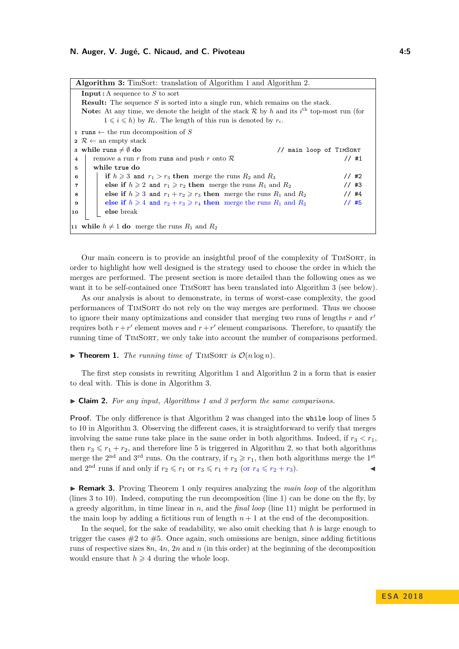#### **N. Auger, V. Jugé, C. Nicaud, and C. Pivoteau 4:5**

<span id="page-4-3"></span>

| <b>Algorithm 3:</b> TimSort: translation of Algorithm 1 and Algorithm 2.                                                  |  |  |  |  |
|---------------------------------------------------------------------------------------------------------------------------|--|--|--|--|
| <b>Input:</b> A sequence to $S$ to sort                                                                                   |  |  |  |  |
| <b>Result:</b> The sequence $S$ is sorted into a single run, which remains on the stack.                                  |  |  |  |  |
| <b>Note:</b> At any time, we denote the height of the stack $\mathcal{R}$ by h and its i <sup>th</sup> top-most run (for  |  |  |  |  |
| $1 \leq i \leq h$ by $R_i$ . The length of this run is denoted by $r_i$ .                                                 |  |  |  |  |
| 1 runs $\leftarrow$ the run decomposition of S                                                                            |  |  |  |  |
| $2 \mathcal{R} \leftarrow$ an empty stack                                                                                 |  |  |  |  |
| 3 while runs $\neq \emptyset$ do<br>// main loop of TIMSORT                                                               |  |  |  |  |
| remove a run r from runs and push r onto $\mathcal R$<br>$1/$ #1<br>$\overline{4}$                                        |  |  |  |  |
| while true do<br>5                                                                                                        |  |  |  |  |
| if $h \geq 3$ and $r_1 > r_3$ then merge the runs $R_2$ and $R_3$<br>$1/$ #2<br>6                                         |  |  |  |  |
| else if $h \geqslant 2$ and $r_1 \geqslant r_2$ then merge the runs $R_1$ and $R_2$<br>$1/$ #3<br>$\overline{\mathbf{r}}$ |  |  |  |  |
| $1/$ #4<br>else if $h \geq 3$ and $r_1 + r_2 \geq r_3$ then merge the runs $R_1$ and $R_2$<br>8                           |  |  |  |  |
| 11#5<br>else if $h \ge 4$ and $r_2 + r_3 \ge r_4$ then merge the runs $R_1$ and $R_2$<br>9                                |  |  |  |  |
| else break<br>10                                                                                                          |  |  |  |  |
|                                                                                                                           |  |  |  |  |
| 11 while $h \neq 1$ do merge the runs $R_1$ and $R_2$                                                                     |  |  |  |  |

<span id="page-4-0"></span>Our main concern is to provide an insightful proof of the complexity of TIMSORT, in order to highlight how well designed is the strategy used to choose the order in which the merges are performed. The present section is more detailed than the following ones as we want it to be self-contained once TIMSORT has been translated into Algorithm [3](#page-4-0) (see below).

As our analysis is about to demonstrate, in terms of worst-case complexity, the good performances of TimSort do not rely on the way merges are performed. Thus we choose to ignore their many optimizations and consider that merging two runs of lengths *r* and *r'* requires both  $r + r'$  element moves and  $r + r'$  element comparisons. Therefore, to quantify the running time of TimSort, we only take into account the number of comparisons performed.

#### <span id="page-4-1"></span> $\blacktriangleright$  **Theorem 1.** *The running time of* TIMSORT *is*  $\mathcal{O}(n \log n)$ *.*

The first step consists in rewriting Algorithm [1](#page-2-0) and Algorithm [2](#page-2-1) in a form that is easier to deal with. This is done in Algorithm [3.](#page-4-0)

#### I **Claim 2.** *For any input, Algorithms [1](#page-2-0) and [3](#page-4-0) perform the same comparisons.*

**Proof.** The only difference is that Algorithm [2](#page-2-1) was changed into the while loop of lines 5 to 10 in Algorithm [3.](#page-4-0) Observing the different cases, it is straightforward to verify that merges involving the same runs take place in the same order in both algorithms. Indeed, if  $r_3 < r_1$ , then  $r_3 \leq r_1 + r_2$ , and therefore line 5 is triggered in Algorithm [2,](#page-2-1) so that both algorithms merge the 2<sup>nd</sup> and 3<sup>rd</sup> runs. On the contrary, if  $r_3 \geq r_1$ , then both algorithms merge the 1<sup>st</sup> and  $2<sup>nd</sup>$  runs if and only if  $r_2 \leq r_1$  or  $r_3 \leq r_1 + r_2$  (or  $r_4 \leq r_2 + r_3$ ).

<span id="page-4-2"></span>**IF Remark 3.** Proving Theorem [1](#page-4-1) only requires analyzing the *main loop* of the algorithm (lines 3 to 10). Indeed, computing the run decomposition (line 1) can be done on the fly, by a greedy algorithm, in time linear in *n*, and the *final loop* (line 11) might be performed in the main loop by adding a fictitious run of length  $n + 1$  at the end of the decomposition.

In the sequel, for the sake of readability, we also omit checking that *h* is large enough to trigger the cases  $\#2$  to  $\#5$ . Once again, such omissions are benign, since adding fictitious runs of respective sizes 8*n*, 4*n*, 2*n* and *n* (in this order) at the beginning of the decomposition would ensure that  $h \geq 4$  during the whole loop.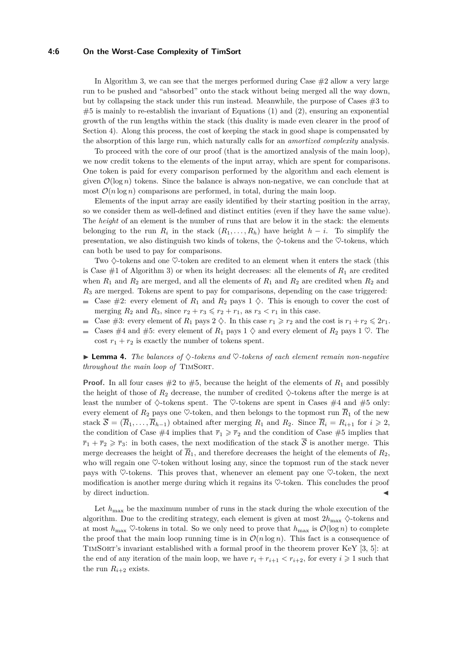#### **4:6 On the Worst-Case Complexity of TimSort**

In Algorithm [3,](#page-4-0) we can see that the merges performed during Case  $#2$  allow a very large run to be pushed and "absorbed" onto the stack without being merged all the way down, but by collapsing the stack under this run instead. Meanwhile, the purpose of Cases  $\#3$  to  $#5$  is mainly to re-establish the invariant of Equations [\(1\)](#page-3-1) and [\(2\)](#page-3-1), ensuring an exponential growth of the run lengths within the stack (this duality is made even clearer in the proof of Section [4\)](#page-6-0). Along this process, the cost of keeping the stack in good shape is compensated by the absorption of this large run, which naturally calls for an *amortized complexity* analysis.

To proceed with the core of our proof (that is the amortized analysis of the main loop), we now credit tokens to the elements of the input array, which are spent for comparisons. One token is paid for every comparison performed by the algorithm and each element is given  $\mathcal{O}(\log n)$  tokens. Since the balance is always non-negative, we can conclude that at most  $\mathcal{O}(n \log n)$  comparisons are performed, in total, during the main loop.

Elements of the input array are easily identified by their starting position in the array, so we consider them as well-defined and distinct entities (even if they have the same value). The *height* of an element is the number of runs that are below it in the stack: the elements belonging to the run  $R_i$  in the stack  $(R_1, \ldots, R_h)$  have height  $h - i$ . To simplify the presentation, we also distinguish two kinds of tokens, the  $\diamondsuit$ -tokens and the  $\diamondsuit$ -tokens, which can both be used to pay for comparisons.

Two  $\diamondsuit$ -tokens and one  $\diamondsuit$ -token are credited to an element when it enters the stack (this is Case  $\#1$  of Algorithm [3\)](#page-4-0) or when its height decreases: all the elements of  $R_1$  are credited when  $R_1$  and  $R_2$  are merged, and all the elements of  $R_1$  and  $R_2$  are credited when  $R_2$  and *R*<sup>3</sup> are merged. Tokens are spent to pay for comparisons, depending on the case triggered:

- Gase  $\#2$ : every element of  $R_1$  and  $R_2$  pays  $1 \diamondsuit$ . This is enough to cover the cost of merging  $R_2$  and  $R_3$ , since  $r_2 + r_3 \leqslant r_2 + r_1$ , as  $r_3 < r_1$  in this case.
- Case #3: every element of  $R_1$  pays  $2 \diamondsuit$ . In this case  $r_1 \geq r_2$  and the cost is  $r_1 + r_2 \leqslant 2r_1$ .  $\mathcal{L}_{\mathcal{A}}$
- Cases #4 and #5: every element of  $R_1$  pays 1  $\diamond$  and every element of  $R_2$  pays 1  $\diamond$ . The  $\equiv$ cost  $r_1 + r_2$  is exactly the number of tokens spent.

**Lemma 4.** The balances of  $\diamondsuit$ -tokens and  $\diamondsuit$ -tokens of each element remain non-negative *throughout the main loop of TIMSORT.* 

**Proof.** In all four cases  $#2$  to  $#5$ , because the height of the elements of  $R_1$  and possibly the height of those of  $R_2$  decrease, the number of credited  $\diamondsuit$ -tokens after the merge is at least the number of  $\diamond$ -tokens spent. The  $\heartsuit$ -tokens are spent in Cases #4 and #5 only: every element of  $R_2$  pays one  $\heartsuit$ -token, and then belongs to the topmost run  $\overline{R}_1$  of the new stack  $\overline{S} = (\overline{R}_1, \ldots, \overline{R}_{h-1})$  obtained after merging  $R_1$  and  $R_2$ . Since  $\overline{R}_i = R_{i+1}$  for  $i \geq 2$ , the condition of Case  $\#4$  implies that  $\overline{r}_1 \geq \overline{r}_2$  and the condition of Case  $\#5$  implies that  $\overline{r}_1 + \overline{r}_2 \geq \overline{r}_3$ : in both cases, the next modification of the stack  $\overline{S}$  is another merge. This merge decreases the height of  $\overline{R}_1$ , and therefore decreases the height of the elements of  $R_2$ , who will regain one  $\heartsuit$ -token without losing any, since the topmost run of the stack never pays with  $\heartsuit$ -tokens. This proves that, whenever an element pay one  $\heartsuit$ -token, the next modification is another merge during which it regains its  $\heartsuit$ -token. This concludes the proof by direct induction.

Let  $h_{\text{max}}$  be the maximum number of runs in the stack during the whole execution of the algorithm. Due to the crediting strategy, each element is given at most  $2h_{\text{max}} \diamondsuit$ -tokens and at most  $h_{\text{max}}$   $\heartsuit$ -tokens in total. So we only need to prove that  $h_{\text{max}}$  is  $\mathcal{O}(\log n)$  to complete the proof that the main loop running time is in  $\mathcal{O}(n \log n)$ . This fact is a consequence of TimSort's invariant established with a formal proof in the theorem prover KeY [\[3,](#page-12-10) [5\]](#page-12-9): at the end of any iteration of the main loop, we have  $r_i + r_{i+1} < r_{i+2}$ , for every  $i \geq 1$  such that the run  $R_{i+2}$  exists.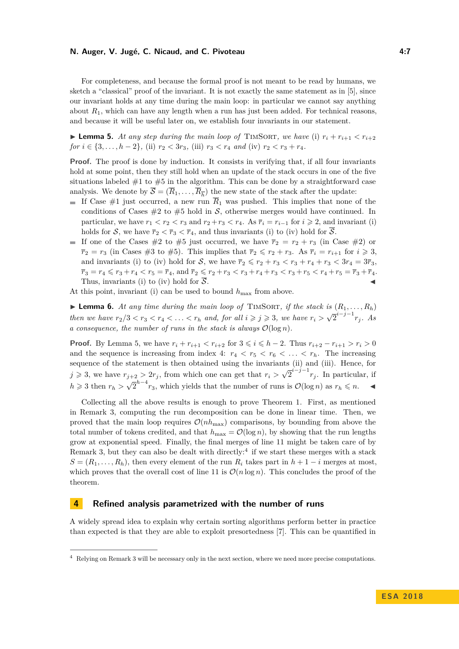#### **N. Auger, V. Jugé, C. Nicaud, and C. Pivoteau 4:7**

For completeness, and because the formal proof is not meant to be read by humans, we sketch a "classical" proof of the invariant. It is not exactly the same statement as in [\[5\]](#page-12-9), since our invariant holds at any time during the main loop: in particular we cannot say anything about  $R_1$ , which can have any length when a run has just been added. For technical reasons, and because it will be useful later on, we establish four invariants in our statement.

<span id="page-6-2"></span>**Example 5.** At any step during the main loop of TIMSORT, we have (i)  $r_i + r_{i+1} < r_{i+2}$ *for*  $i \in \{3, \ldots, h-2\}$ , (ii)  $r_2 < 3r_3$ , (iii)  $r_3 < r_4$  and (iv)  $r_2 < r_3 + r_4$ .

**Proof.** The proof is done by induction. It consists in verifying that, if all four invariants hold at some point, then they still hold when an update of the stack occurs in one of the five situations labeled  $#1$  to  $#5$  in the algorithm. This can be done by a straightforward case analysis. We denote by  $S = (R_1, \ldots, R_{\overline{h}})$  the new state of the stack after the update:

- If Case #1 just occurred, a new run  $\overline{R}_1$  was pushed. This implies that none of the conditions of Cases  $#2$  to  $#5$  hold in S, otherwise merges would have continued. In particular, we have  $r_1 < r_2 < r_3$  and  $r_2 + r_3 < r_4$ . As  $\overline{r}_i = r_{i-1}$  for  $i \geq 2$ , and invariant (i) holds for S, we have  $\overline{r}_2 < \overline{r}_3 < \overline{r}_4$ , and thus invariants (i) to (iv) hold for  $\overline{S}$ .
- If one of the Cases #2 to #5 just occurred, we have  $\bar{r}_2 = r_2 + r_3$  (in Case #2) or  $\overline{r}_2 = r_3$  (in Cases #3 to #5). This implies that  $\overline{r}_2 \leq r_2 + r_3$ . As  $\overline{r}_i = r_{i+1}$  for  $i \geq 3$ , and invariants (i) to (iv) hold for S, we have  $\overline{r}_2 \leq r_2 + r_3 < r_3 + r_4 + r_3 < 3r_4 = 3\overline{r}_3$ ,  $\overline{r}_3 = r_4 \leqslant r_3 + r_4 < r_5 = \overline{r}_4$ , and  $\overline{r}_2 \leqslant r_2 + r_3 < r_3 + r_4 + r_3 < r_3 + r_5 < r_4 + r_5 = \overline{r}_3 + \overline{r}_4$ . Thus, invariants (i) to (iv) hold for  $\overline{S}$ .

At this point, invariant (i) can be used to bound  $h_{\text{max}}$  from above.

<span id="page-6-1"></span> $\triangleright$  **Lemma 6.** At any time during the main loop of TIMSORT, if the stack is  $(R_1, \ldots, R_h)$ *then we have* $r_2/3 < r_3 < r_4 < \ldots < r_h$  **and, for all**  $i \geq j \geq 3$ **, we have**  $r_i > \sqrt{3}$  $\overline{2}^{i-j-1}r_j$ *. As a consequence, the number of runs in the stack is always*  $\mathcal{O}(\log n)$ *.* 

**Proof.** By Lemma [5,](#page-6-2) we have  $r_i + r_{i+1} < r_{i+2}$  for  $3 \leq i \leq h-2$ . Thus  $r_{i+2} - r_{i+1} > r_i > 0$ and the sequence is increasing from index 4:  $r_4 < r_5 < r_6 < \ldots < r_h$ . The increasing sequence of the statement is then obtained using the invariants (ii) and (iii). Hence, for  $j \geq 3$ , we have  $r_{j+2} > 2r_j$ , from which one can get that  $r_i > \sqrt{3}$  $\overline{2}^{i-j-1}r_j$ . In particular, if  $h \geqslant 3$  then  $r_h > \sqrt{ }$  $\overline{2}^{h-4}r_3$ , which yields that the number of runs is  $\mathcal{O}(\log n)$  as  $r_h \leq n$ .

Collecting all the above results is enough to prove Theorem [1.](#page-4-1) First, as mentioned in Remark [3,](#page-4-2) computing the run decomposition can be done in linear time. Then, we proved that the main loop requires  $\mathcal{O}(nh_{\text{max}})$  comparisons, by bounding from above the total number of tokens credited, and that  $h_{\text{max}} = \mathcal{O}(\log n)$ , by showing that the run lengths grow at exponential speed. Finally, the final merges of line 11 might be taken care of by Remark [3,](#page-4-2) but they can also be dealt with directly:<sup>[4](#page-6-3)</sup> if we start these merges with a stack  $S = (R_1, \ldots, R_h)$ , then every element of the run  $R_i$  takes part in  $h + 1 - i$  merges at most, which proves that the overall cost of line 11 is  $\mathcal{O}(n \log n)$ . This concludes the proof of the theorem.

## <span id="page-6-0"></span>**4 Refined analysis parametrized with the number of runs**

A widely spread idea to explain why certain sorting algorithms perform better in practice than expected is that they are able to exploit presortedness [\[7\]](#page-12-5). This can be quantified in

<span id="page-6-3"></span><sup>&</sup>lt;sup>4</sup> Relying on Remark [3](#page-4-2) will be necessary only in the next section, where we need more precise computations.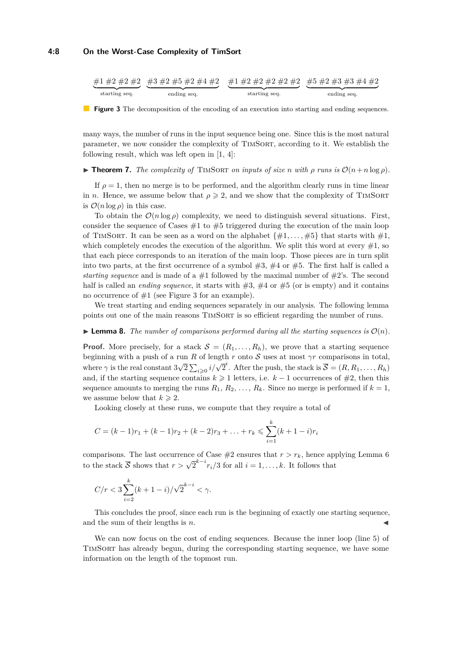<span id="page-7-0"></span>

**Figure 3** The decomposition of the encoding of an execution into starting and ending sequences.

many ways, the number of runs in the input sequence being one. Since this is the most natural parameter, we now consider the complexity of TIMSORT, according to it. We establish the following result, which was left open in [\[1,](#page-12-7) [4\]](#page-12-8):

<span id="page-7-1"></span>**Find Theorem 7.** *The complexity of* TIMSORT *on inputs of size n* with  $\rho$  *runs is*  $\mathcal{O}(n+n\log\rho)$ *.* 

If  $\rho = 1$ , then no merge is to be performed, and the algorithm clearly runs in time linear in *n*. Hence, we assume below that  $\rho \geqslant 2$ , and we show that the complexity of TIMSORT is  $\mathcal{O}(n \log \rho)$  in this case.

To obtain the  $\mathcal{O}(n \log \rho)$  complexity, we need to distinguish several situations. First, consider the sequence of Cases  $#1$  to  $#5$  triggered during the execution of the main loop of TIMSORT. It can be seen as a word on the alphabet  $\{\#1, \ldots, \#5\}$  that starts with  $\#1$ , which completely encodes the execution of the algorithm. We split this word at every  $#1$ , so that each piece corresponds to an iteration of the main loop. Those pieces are in turn split into two parts, at the first occurrence of a symbol  $#3, #4$  or  $#5$ . The first half is called a *starting sequence* and is made of a  $#1$  followed by the maximal number of  $#2$ 's. The second half is called an *ending sequence*, it starts with  $\#3, \#4$  or  $\#5$  (or is empty) and it contains no occurrence of  $#1$  (see Figure [3](#page-7-0) for an example).

We treat starting and ending sequences separately in our analysis. The following lemma points out one of the main reasons TimSort is so efficient regarding the number of runs.

**Example 1 Lemma 8.** The number of comparisons performed during all the starting sequences is  $\mathcal{O}(n)$ .

**Proof.** More precisely, for a stack  $\mathcal{S} = (R_1, \ldots, R_h)$ , we prove that a starting sequence beginning with a push of a run *R* of length *r* onto S uses at most *γr* comparisons in total, where  $\gamma$  is the real constant 3 √  $\overline{2}$   $\sum_{i \geq 0} i/\sqrt{2}^i$ . After the push, the stack is  $\overline{S} = (R, R_1, \ldots, R_h)$ and, if the starting sequence contains  $k \geq 1$  letters, i.e.  $k-1$  occurrences of  $\#2$ , then this sequence amounts to merging the runs  $R_1, R_2, \ldots, R_k$ . Since no merge is performed if  $k = 1$ , we assume below that  $k \geq 2$ .

Looking closely at these runs, we compute that they require a total of

$$
C = (k-1)r_1 + (k-1)r_2 + (k-2)r_3 + \ldots + r_k \leqslant \sum_{i=1}^k (k+1-i)r_i
$$

comparisons. The last occurrence of Case  $#2$  ensures that  $r > r_k$ , hence applying Lemma [6](#page-6-1) to the stack  $\overline{S}$  shows that  $r > \sqrt{2}^{k-i} r_i/3$  for all  $i = 1, ..., k$ . It follows that

$$
C/r < 3\sum_{i=2}^{k} (k+1-i) / \sqrt{2}^{k-i} < \gamma.
$$

This concludes the proof, since each run is the beginning of exactly one starting sequence, and the sum of their lengths is *n*.

We can now focus on the cost of ending sequences. Because the inner loop (line [5\)](#page-4-3) of TimSort has already begun, during the corresponding starting sequence, we have some information on the length of the topmost run.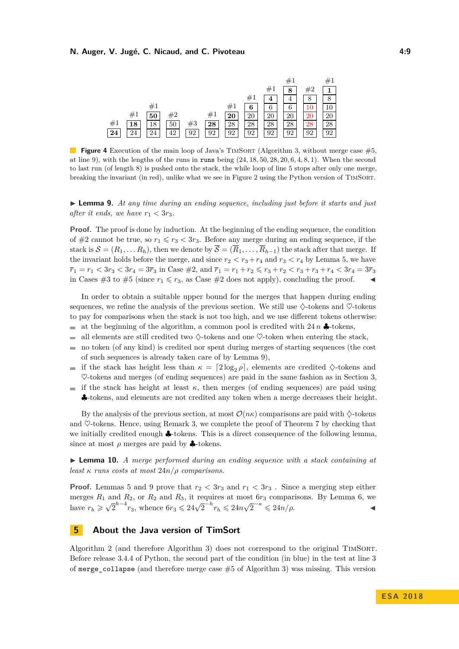<span id="page-8-2"></span>

**Figure 4** Execution of the main loop of Java's TIMSORT (Algorithm [3,](#page-4-0) without merge case #5, at line 9), with the lengths of the runs in runs being (24*,* 18*,* 50*,* 28*,* 20*,* 6*,* 4*,* 8*,* 1). When the second to last run (of length 8) is pushed onto the stack, the while loop of line 5 stops after only one merge, breaking the invariant (in red), unlike what we see in Figure [2](#page-3-2) using the Python version of TimSort.

<span id="page-8-1"></span>► **Lemma 9.** *At any time during an ending sequence, including just before it starts and just after it ends, we have*  $r_1 < 3r_3$ *.* 

**Proof.** The proof is done by induction. At the beginning of the ending sequence, the condition of #2 cannot be true, so  $r_1 \le r_3 < 3r_3$ . Before any merge during an ending sequence, if the stack is  $S = (R_1, \ldots, R_h)$ , then we denote by  $\overline{S} = (\overline{R}_1, \ldots, \overline{R}_{h-1})$  the stack after that merge. If the invariant holds before the merge, and since  $r_2 < r_3 + r_4$  and  $r_3 < r_4$  by Lemma [5,](#page-6-2) we have  $\overline{r}_1 = r_1 < 3r_3 < 3r_4 = 3\overline{r}_3$  in Case  $\#2$ , and  $\overline{r}_1 = r_1 + r_2 \leqslant r_3 + r_2 < r_3 + r_3 + r_4 < 3r_4 = 3\overline{r}_3$ in Cases #3 to #5 (since  $r_1 \leq r_3$ , as Case #2 does not apply), concluding the proof.

In order to obtain a suitable upper bound for the merges that happen during ending sequences, we refine the analysis of the previous section. We still use  $\diamondsuit$ -tokens and  $\diamondsuit$ -tokens to pay for comparisons when the stack is not too high, and we use different tokens otherwise:

- at the beginning of the algorithm, a common pool is credited with  $24n$ .  $\overline{a}$
- all elements are still credited two  $\Diamond$ -tokens and one  $\Diamond$ -token when entering the stack,  $\overline{a}$
- no token (of any kind) is credited nor spent during merges of starting sequences (the cost ÷ of such sequences is already taken care of by Lemma [9\)](#page-8-1),
- if the stack has height less than  $\kappa = \left[2 \log_2 \rho\right]$ , elements are credited  $\Diamond$ -tokens and  $\mathbf{r}$  $\heartsuit$ -tokens and merges (of ending sequences) are paid in the same fashion as in Section [3,](#page-3-0)
- if the stack has height at least  $\kappa$ , then merges (of ending sequences) are paid using ♣-tokens, and elements are not credited any token when a merge decreases their height.

By the analysis of the previous section, at most  $\mathcal{O}(n\kappa)$  comparisons are paid with  $\diamondsuit$ -tokens and  $\heartsuit$ -tokens. Hence, using Remark [3,](#page-4-2) we complete the proof of Theorem [7](#page-7-1) by checking that we initially credited enough ♣-tokens. This is a direct consequence of the following lemma, since at most  $\rho$  merges are paid by  $\clubsuit$ -tokens.

I **Lemma 10.** *A merge performed during an ending sequence with a stack containing at least*  $\kappa$  *runs costs at most*  $24n/\rho$  *comparisons.* 

**Proof.** Lemmas [5](#page-6-2) and [9](#page-8-1) prove that  $r_2 < 3r_3$  and  $r_1 < 3r_3$ . Since a merging step either merges *R*<sup>1</sup> and *R*2, or *R*<sup>2</sup> and *R*3, it requires at most 6*r*<sup>3</sup> comparisons. By Lemma [6,](#page-6-1) we  $\Delta$  have  $r_h \geqslant \sqrt{ }$  $\frac{1}{2}h^{-4}r_3$ , whence  $6r_3 \leq 24\sqrt{2}^{-h}r_h \leq 24n\sqrt{2}$  $\overline{2}^{-\kappa} \leqslant 24n/\rho.$ 

## <span id="page-8-0"></span>**5 About the Java version of TimSort**

Algorithm [2](#page-2-1) (and therefore Algorithm [3\)](#page-4-0) does not correspond to the original TimSort. Before release 3.4.4 of Python, the second part of the condition (in blue) in the test at line 3 of merge collapse (and therefore merge case  $#5$  of Algorithm [3\)](#page-4-0) was missing. This version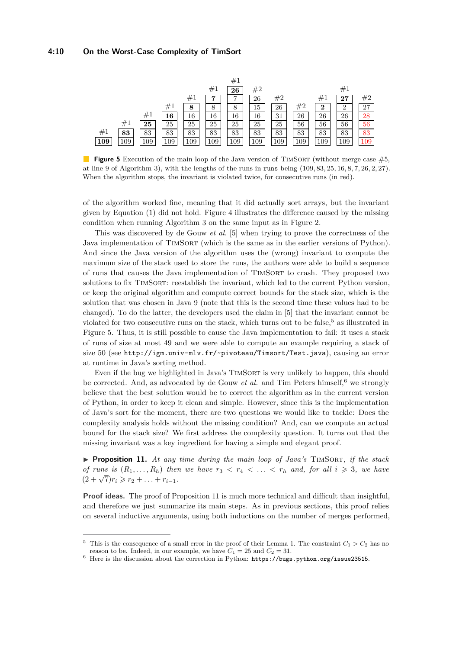#### **4:10 On the Worst-Case Complexity of TimSort**

<span id="page-9-1"></span>

**Figure 5** Execution of the main loop of the Java version of TIMSORT (without merge case  $\#5$ , at line 9 of Algorithm [3\)](#page-4-0), with the lengths of the runs in runs being (109*,* 83*,* 25*,* 16*,* 8*,* 7*,* 26*,* 2*,* 27). When the algorithm stops, the invariant is violated twice, for consecutive runs (in red).

of the algorithm worked fine, meaning that it did actually sort arrays, but the invariant given by Equation [\(1\)](#page-3-1) did not hold. Figure [4](#page-8-2) illustrates the difference caused by the missing condition when running Algorithm [3](#page-4-0) on the same input as in Figure [2.](#page-3-2)

This was discovered by de Gouw *et al.* [\[5\]](#page-12-9) when trying to prove the correctness of the Java implementation of TIMSORT (which is the same as in the earlier versions of Python). And since the Java version of the algorithm uses the (wrong) invariant to compute the maximum size of the stack used to store the runs, the authors were able to build a sequence of runs that causes the Java implementation of TimSort to crash. They proposed two solutions to fix TIMSORT: reestablish the invariant, which led to the current Python version, or keep the original algorithm and compute correct bounds for the stack size, which is the solution that was chosen in Java 9 (note that this is the second time these values had to be changed). To do the latter, the developers used the claim in [\[5\]](#page-12-9) that the invariant cannot be violated for two consecutive runs on the stack, which turns out to be false,<sup>[5](#page-9-0)</sup> as illustrated in Figure [5.](#page-9-1) Thus, it is still possible to cause the Java implementation to fail: it uses a stack of runs of size at most 49 and we were able to compute an example requiring a stack of size 50 (see <http://igm.univ-mlv.fr/~pivoteau/Timsort/Test.java>), causing an error at runtime in Java's sorting method.

Even if the bug we highlighted in Java's TIMSORT is very unlikely to happen, this should be corrected. And, as advocated by de Gouw *et al.* and Tim Peters himself,<sup>[6](#page-9-2)</sup> we strongly believe that the best solution would be to correct the algorithm as in the current version of Python, in order to keep it clean and simple. However, since this is the implementation of Java's sort for the moment, there are two questions we would like to tackle: Does the complexity analysis holds without the missing condition? And, can we compute an actual bound for the stack size? We first address the complexity question. It turns out that the missing invariant was a key ingredient for having a simple and elegant proof.

<span id="page-9-3"></span>I **Proposition 11.** *At any time during the main loop of Java's* TimSort*, if the stack of runs is*  $(R_1, \ldots, R_h)$  *then we have*  $r_3 < r_4 < \ldots < r_h$  *and, for all*  $i \geqslant 3$ *, we have*  $(2 + \sqrt{7})r_i \geq r_2 + \ldots + r_{i-1}.$ 

Proof ideas. The proof of Proposition [11](#page-9-3) is much more technical and difficult than insightful, and therefore we just summarize its main steps. As in previous sections, this proof relies on several inductive arguments, using both inductions on the number of merges performed,

<span id="page-9-0"></span>This is the consequence of a small error in the proof of their Lemma 1. The constraint  $C_1 > C_2$  has no reason to be. Indeed, in our example, we have  $C_1 = 25$  and  $C_2 = 31$ .

<span id="page-9-2"></span> $^6\,$  Here is the discussion about the correction in Python:  ${\tt https://bugs.python.org/issue23515}.$  ${\tt https://bugs.python.org/issue23515}.$  ${\tt https://bugs.python.org/issue23515}.$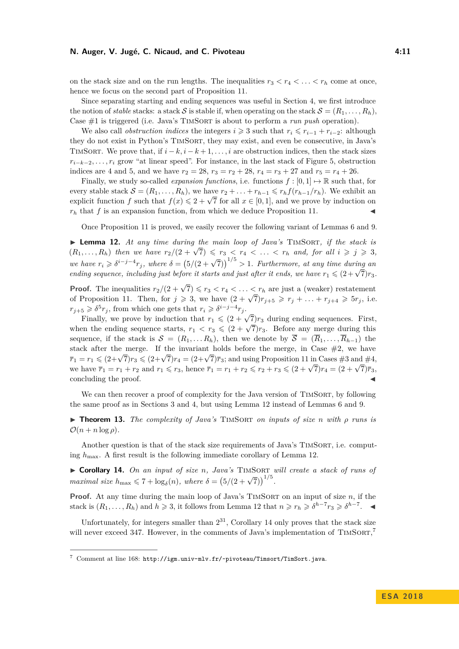#### **N. Auger, V. Jugé, C. Nicaud, and C. Pivoteau 4:11** 4:11

on the stack size and on the run lengths. The inequalities  $r_3 < r_4 < \ldots < r_h$  come at once, hence we focus on the second part of Proposition [11.](#page-9-3)

Since separating starting and ending sequences was useful in Section [4,](#page-6-0) we first introduce the notion of *stable* stacks: a stack S is stable if, when operating on the stack  $S = (R_1, \ldots, R_h)$ , Case #1 is triggered (i.e. Java's TimSort is about to perform a *run push* operation).

We also call *obstruction indices* the integers  $i \geqslant 3$  such that  $r_i \leqslant r_{i-1} + r_{i-2}$ : although they do not exist in Python's TIMSORT, they may exist, and even be consecutive, in Java's TIMSORT. We prove that, if  $i - k$ ,  $i - k + 1, \ldots, i$  are obstruction indices, then the stack sizes  $r_{i-k-2}, \ldots, r_i$  grow "at linear speed". For instance, in the last stack of Figure [5,](#page-9-1) obstruction indices are 4 and 5, and we have  $r_2 = 28$ ,  $r_3 = r_2 + 28$ ,  $r_4 = r_3 + 27$  and  $r_5 = r_4 + 26$ .

Finally, we study so-called *expansion functions*, i.e. functions  $f : [0,1] \rightarrow \mathbb{R}$  such that, for every stable stack  $\mathcal{S} = (R_1, \ldots, R_h)$ , we have  $r_2 + \ldots + r_{h-1} \leq r_h f(r_{h-1}/r_h)$ . We exhibit an every stable stack  $\mathcal{S} = (n_1, \ldots, n_h)$ , we have  $r_2 + \ldots + r_{h-1} \leq r_h f(r_{h-1}/r_h)$ , we exhibit an explicit function *f* such that  $f(x) \leq 2 + \sqrt{7}$  for all  $x \in [0, 1]$ , and we prove by induction on  $r_h$  that  $f$  is an expansion function, from which we deduce Proposition [11.](#page-9-3)

Once Proposition [11](#page-9-3) is proved, we easily recover the following variant of Lemmas [6](#page-6-1) and [9.](#page-8-1)

<span id="page-10-0"></span>▶ Lemma 12. At any time during the main loop of Java's TIMSORT, if the stack is **Figure 12.** At any time daring the main toop of Java's TIMSORT, if the state is  $(R_1, \ldots, R_h)$  then we have  $r_2/(2+\sqrt{7}) \leq r_3 < r_4 < \ldots < r_h$  and, for all  $i \geq j \geq 3$ , *we have*  $r_i \geq \delta^{i-j-4}r_j$ , where  $\delta = (5/(2+\sqrt{7}))^{1/5} > 1$ . Furthermore, at any time during an *ending sequence, including just before it starts and just after it ends, we have*  $r_1 \leq (2 + \sqrt{7})r_3$ *.* 

**Proof.** The inequalities  $r_2/(2+\sqrt{7}) \leq r_3 < r_4 < \ldots < r_h$  are just a (weaker) restatement of Proposition [11.](#page-9-3) Then, for  $j \ge 3$ , we have  $(2 + \sqrt{7})r_{j+5} \ge r_j + ... + r_{j+4} \ge 5r_j$ , i.e.  $r_{j+5} \geqslant \delta^5 r_j$ , from which one gets that  $r_i \geqslant \delta^{i-j-4} r_j$ .

 $5 \nless 0$   $r_j$ , nom which one gets that  $r_i \nless 0$   $\rightarrow$   $r_j$ .<br>Finally, we prove by induction that  $r_1 \nless (2 + \sqrt{7})r_3$  during ending sequences. First, rmany, we prove by moduction that  $r_1 \leq (2 + \sqrt{r})r_3$  during ending sequences. First when the ending sequence starts,  $r_1 < r_3 \leq (2 + \sqrt{7})r_3$ . Before any merge during this sequence, if the stack is  $S = (R_1, \ldots, R_h)$ , then we denote by  $\overline{S} = (\overline{R}_1, \ldots, \overline{R}_{h-1})$  the stack after the merge. If the invariant holds before the merge, in Case  $#2$ , we have stack after the merge. If the invariant holds before the merge, in Case  $\#2$ , we have  $\overline{r}_1 = r_1 \leq (2+\sqrt{7})r_3 \leq (2+\sqrt{7})r_4 = (2+\sqrt{7})\overline{r}_3$ ; and using Proposition [11](#page-9-3) in Cases  $\#3$  and  $\#4$ , we have  $\overline{r}_1 = r_1 + r_2$  and  $r_1 \le r_3$ , hence  $\overline{r}_1 = r_1 + r_2 \le r_2 + r_3 \le (2 + \sqrt{7})r_4 = (2 + \sqrt{7})\overline{r}_3$ , concluding the proof.

We can then recover a proof of complexity for the Java version of TIMSORT, by following the same proof as in Sections [3](#page-3-0) and [4,](#page-6-0) but using Lemma [12](#page-10-0) instead of Lemmas [6](#page-6-1) and [9.](#page-8-1)

I **Theorem 13.** *The complexity of Java's* TimSort *on inputs of size n with ρ runs is*  $\mathcal{O}(n + n \log \rho)$ .

Another question is that of the stack size requirements of Java's TIMSORT, i.e. computing  $h_{\text{max}}$ . A first result is the following immediate corollary of Lemma [12.](#page-10-0)

<span id="page-10-1"></span>I **Corollary 14.** *On an input of size n, Java's* TimSort *will create a stack of runs of maximal size*  $h_{\text{max}} \le 7 + \log_{\delta}(n)$ , where  $\delta = (5/(2+\sqrt{7}))^{1/5}$ .

**Proof.** At any time during the main loop of Java's TIMSORT on an input of size  $n$ , if the stack is  $(R_1, \ldots, R_h)$  and  $h \geq 3$ , it follows from Lemma [12](#page-10-0) that  $n \geq r_h \geq \delta^{h-7} r_3 \geq \delta^{h-7}$ .

Unfortunately, for integers smaller than  $2^{31}$ , Corollary [14](#page-10-1) only proves that the stack size will never exceed 34[7](#page-10-2). However, in the comments of Java's implementation of  $\text{TIMSORT}$ ,<sup>7</sup>

<span id="page-10-2"></span> $7$  Comment at line 168: <http://igm.univ-mlv.fr/~pivoteau/Timsort/TimSort.java>.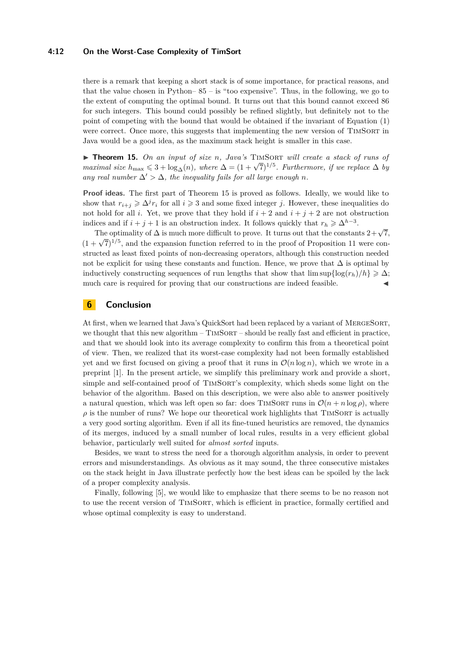#### **4:12 On the Worst-Case Complexity of TimSort**

there is a remark that keeping a short stack is of some importance, for practical reasons, and that the value chosen in Python– $85 - is$  "too expensive". Thus, in the following, we go to the extent of computing the optimal bound. It turns out that this bound cannot exceed 86 for such integers. This bound could possibly be refined slightly, but definitely not to the point of competing with the bound that would be obtained if the invariant of Equation [\(1\)](#page-3-1) were correct. Once more, this suggests that implementing the new version of TIMSORT in Java would be a good idea, as the maximum stack height is smaller in this case.

<span id="page-11-0"></span>▶ **Theorem 15.** *On an input of size n. Java's* TIMSORT *will create a stack of runs of* **FINDICEM 13.** On an input of size *n*, Java's TIMSORI will create a stack of rans of maximal size  $h_{\text{max}} \leq 3 + \log_{\Delta}(n)$ , where  $\Delta = (1 + \sqrt{7})^{1/5}$ . Furthermore, if we replace  $\Delta$  by *any real number*  $\Delta' > \Delta$ *, the inequality fails for all large enough n.* 

**Proof ideas.** The first part of Theorem [15](#page-11-0) is proved as follows. Ideally, we would like to show that  $r_{i+j} \geq \Delta^j r_i$  for all  $i \geq 3$  and some fixed integer *j*. However, these inequalities do not hold for all *i*. Yet, we prove that they hold if  $i + 2$  and  $i + j + 2$  are not obstruction indices and if  $i + j + 1$  is an obstruction index. It follows quickly that  $r_h \geq \Delta^{h-3}$ .

The optimality of  $\Delta$  is much more difficult to prove. It turns out that the constants  $2 + \sqrt{7}$ , The optimality of  $\Delta$  is much more difficult to prove. It turns out that the constants  $z + \sqrt{t}$ ,<br> $(1 + \sqrt{7})^{1/5}$ , and the expansion function referred to in the proof of Proposition [11](#page-9-3) were constructed as least fixed points of non-decreasing operators, although this construction needed not be explicit for using these constants and function. Hence, we prove that  $\Delta$  is optimal by inductively constructing sequences of run lengths that show that  $\limsup\{\log(r_h)/h\} \geq \Delta$ ; much care is required for proving that our constructions are indeed feasible.

## **6 Conclusion**

At first, when we learned that Java's QuickSort had been replaced by a variant of MergeSort, we thought that this new algorithm – TIMSORT – should be really fast and efficient in practice, and that we should look into its average complexity to confirm this from a theoretical point of view. Then, we realized that its worst-case complexity had not been formally established yet and we first focused on giving a proof that it runs in  $\mathcal{O}(n \log n)$ , which we wrote in a preprint [\[1\]](#page-12-7). In the present article, we simplify this preliminary work and provide a short, simple and self-contained proof of TIMSORT's complexity, which sheds some light on the behavior of the algorithm. Based on this description, we were also able to answer positively a natural question, which was left open so far: does TIMSORT runs in  $\mathcal{O}(n + n \log \rho)$ , where  $\rho$  is the number of runs? We hope our theoretical work highlights that TIMSORT is actually a very good sorting algorithm. Even if all its fine-tuned heuristics are removed, the dynamics of its merges, induced by a small number of local rules, results in a very efficient global behavior, particularly well suited for *almost sorted* inputs.

Besides, we want to stress the need for a thorough algorithm analysis, in order to prevent errors and misunderstandings. As obvious as it may sound, the three consecutive mistakes on the stack height in Java illustrate perfectly how the best ideas can be spoiled by the lack of a proper complexity analysis.

Finally, following [\[5\]](#page-12-9), we would like to emphasize that there seems to be no reason not to use the recent version of TimSort, which is efficient in practice, formally certified and whose optimal complexity is easy to understand.